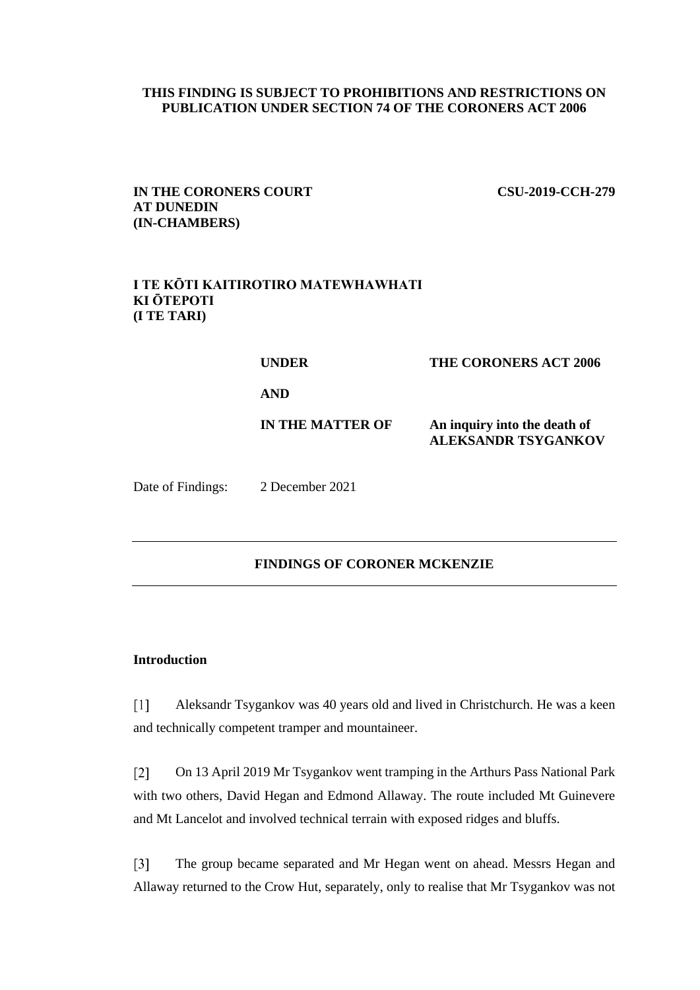# **THIS FINDING IS SUBJECT TO PROHIBITIONS AND RESTRICTIONS ON PUBLICATION UNDER SECTION 74 OF THE CORONERS ACT 2006**

**IN THE CORONERS COURT CSU-2019-CCH-279 AT DUNEDIN (IN-CHAMBERS)**

# **I TE KŌTI KAITIROTIRO MATEWHAWHATI KI ŌTEPOTI (I TE TARI)**

| <b>UNDER</b>     | <b>THE CORONERS ACT 2006</b>                               |
|------------------|------------------------------------------------------------|
| <b>AND</b>       |                                                            |
| IN THE MATTER OF | An inquiry into the death of<br><b>ALEKSANDR TSYGANKOV</b> |

Date of Findings: 2 December 2021

# **FINDINGS OF CORONER MCKENZIE**

### **Introduction**

 $[1]$ Aleksandr Tsygankov was 40 years old and lived in Christchurch. He was a keen and technically competent tramper and mountaineer.

 $\lceil 2 \rceil$ On 13 April 2019 Mr Tsygankov went tramping in the Arthurs Pass National Park with two others, David Hegan and Edmond Allaway. The route included Mt Guinevere and Mt Lancelot and involved technical terrain with exposed ridges and bluffs.

 $[3]$ The group became separated and Mr Hegan went on ahead. Messrs Hegan and Allaway returned to the Crow Hut, separately, only to realise that Mr Tsygankov was not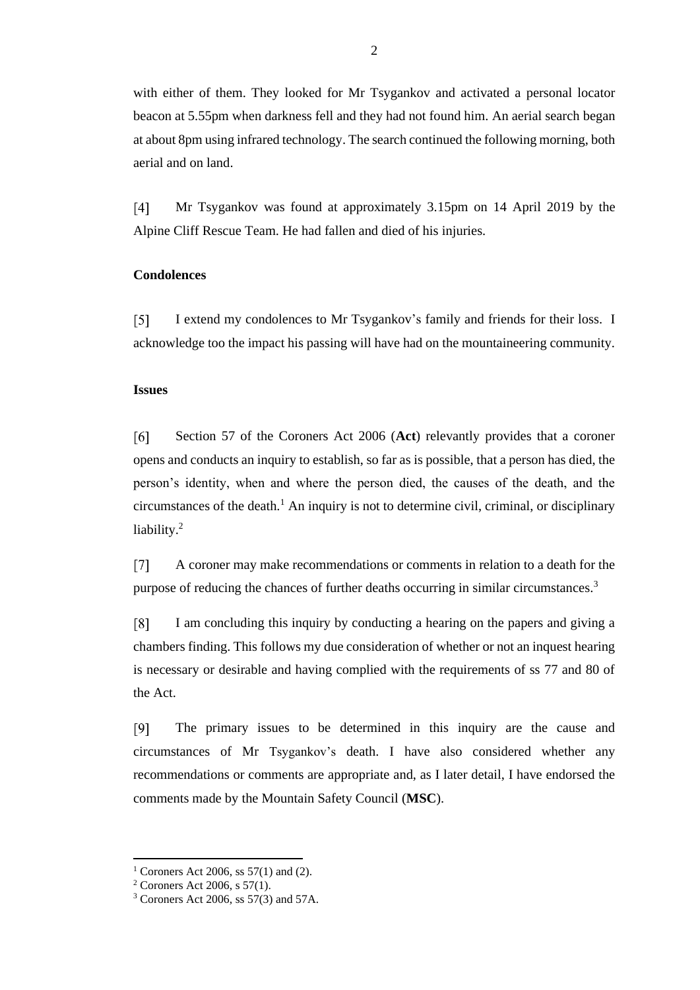with either of them. They looked for Mr Tsygankov and activated a personal locator beacon at 5.55pm when darkness fell and they had not found him. An aerial search began at about 8pm using infrared technology. The search continued the following morning, both aerial and on land.

Mr Tsygankov was found at approximately 3.15pm on 14 April 2019 by the  $[4]$ Alpine Cliff Rescue Team. He had fallen and died of his injuries.

## **Condolences**

 $\lceil 5 \rceil$ I extend my condolences to Mr Tsygankov's family and friends for their loss. I acknowledge too the impact his passing will have had on the mountaineering community.

#### **Issues**

 $[6]$ Section 57 of the Coroners Act 2006 (**Act**) relevantly provides that a coroner opens and conducts an inquiry to establish, so far as is possible, that a person has died, the person's identity, when and where the person died, the causes of the death, and the circumstances of the death.<sup>1</sup> An inquiry is not to determine civil, criminal, or disciplinary liability.<sup>2</sup>

A coroner may make recommendations or comments in relation to a death for the  $[7]$ purpose of reducing the chances of further deaths occurring in similar circumstances.<sup>3</sup>

 $\lceil 8 \rceil$ I am concluding this inquiry by conducting a hearing on the papers and giving a chambers finding. This follows my due consideration of whether or not an inquest hearing is necessary or desirable and having complied with the requirements of ss 77 and 80 of the Act.

 $[9]$ The primary issues to be determined in this inquiry are the cause and circumstances of Mr Tsygankov's death. I have also considered whether any recommendations or comments are appropriate and, as I later detail, I have endorsed the comments made by the Mountain Safety Council (**MSC**).

<sup>&</sup>lt;sup>1</sup> Coroners Act 2006, ss  $57(1)$  and (2).

<sup>&</sup>lt;sup>2</sup> Coroners Act 2006, s  $57(1)$ .

<sup>3</sup> Coroners Act 2006, ss 57(3) and 57A.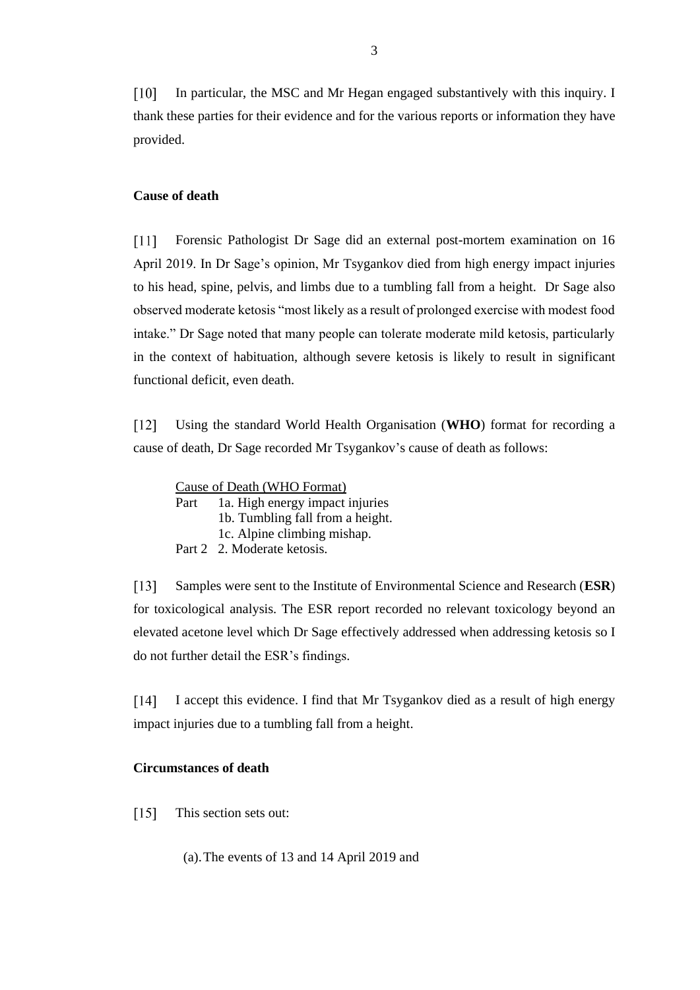$\lceil 10 \rceil$ In particular, the MSC and Mr Hegan engaged substantively with this inquiry. I thank these parties for their evidence and for the various reports or information they have provided.

## **Cause of death**

 $[11]$ Forensic Pathologist Dr Sage did an external post-mortem examination on 16 April 2019. In Dr Sage's opinion, Mr Tsygankov died from high energy impact injuries to his head, spine, pelvis, and limbs due to a tumbling fall from a height. Dr Sage also observed moderate ketosis "most likely as a result of prolonged exercise with modest food intake." Dr Sage noted that many people can tolerate moderate mild ketosis, particularly in the context of habituation, although severe ketosis is likely to result in significant functional deficit, even death.

 $[12]$ Using the standard World Health Organisation (**WHO**) format for recording a cause of death, Dr Sage recorded Mr Tsygankov's cause of death as follows:

| Cause of Death (WHO Format) |                                  |  |
|-----------------------------|----------------------------------|--|
| Part                        | 1a. High energy impact injuries  |  |
|                             | 1b. Tumbling fall from a height. |  |
|                             | 1. Alpina alimbing michan        |  |

- 1c. Alpine climbing mishap.
- Part 2 2. Moderate ketosis.

Samples were sent to the Institute of Environmental Science and Research (**ESR**)  $[13]$ for toxicological analysis. The ESR report recorded no relevant toxicology beyond an elevated acetone level which Dr Sage effectively addressed when addressing ketosis so I do not further detail the ESR's findings.

I accept this evidence. I find that Mr Tsygankov died as a result of high energy  $[14]$ impact injuries due to a tumbling fall from a height.

# **Circumstances of death**

- $[15]$ This section sets out:
	- (a).The events of 13 and 14 April 2019 and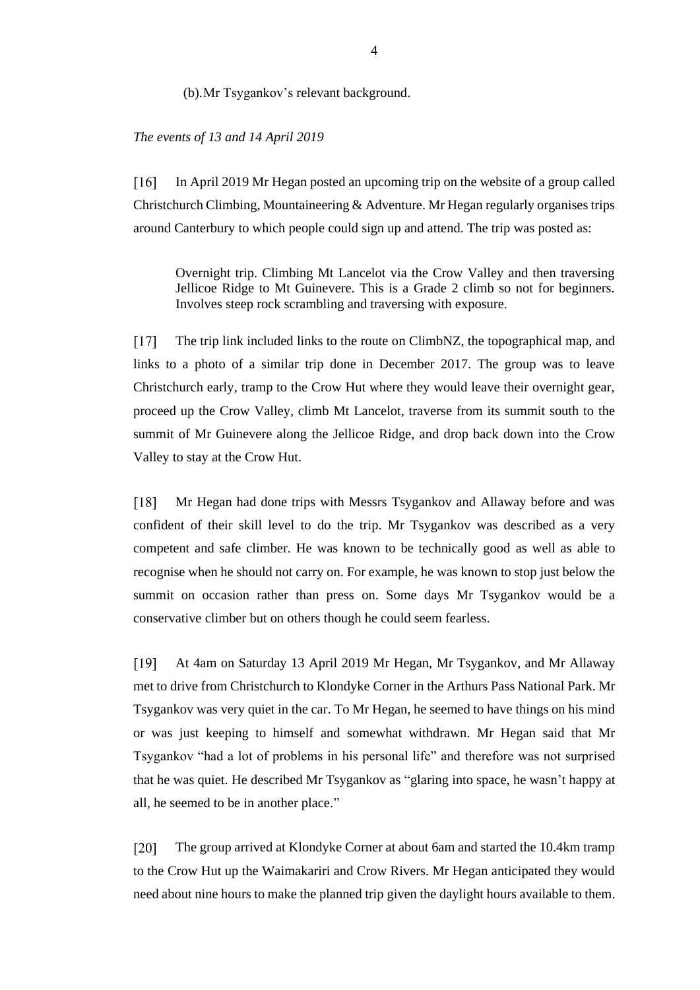#### (b).Mr Tsygankov's relevant background.

#### *The events of 13 and 14 April 2019*

In April 2019 Mr Hegan posted an upcoming trip on the website of a group called  $\lceil 16 \rceil$ Christchurch Climbing, Mountaineering & Adventure. Mr Hegan regularly organises trips around Canterbury to which people could sign up and attend. The trip was posted as:

Overnight trip. Climbing Mt Lancelot via the Crow Valley and then traversing Jellicoe Ridge to Mt Guinevere. This is a Grade 2 climb so not for beginners. Involves steep rock scrambling and traversing with exposure.

The trip link included links to the route on ClimbNZ, the topographical map, and  $[17]$ links to a photo of a similar trip done in December 2017. The group was to leave Christchurch early, tramp to the Crow Hut where they would leave their overnight gear, proceed up the Crow Valley, climb Mt Lancelot, traverse from its summit south to the summit of Mr Guinevere along the Jellicoe Ridge, and drop back down into the Crow Valley to stay at the Crow Hut.

 $[18]$ Mr Hegan had done trips with Messrs Tsygankov and Allaway before and was confident of their skill level to do the trip. Mr Tsygankov was described as a very competent and safe climber. He was known to be technically good as well as able to recognise when he should not carry on. For example, he was known to stop just below the summit on occasion rather than press on. Some days Mr Tsygankov would be a conservative climber but on others though he could seem fearless.

 $[19]$ At 4am on Saturday 13 April 2019 Mr Hegan, Mr Tsygankov, and Mr Allaway met to drive from Christchurch to Klondyke Corner in the Arthurs Pass National Park. Mr Tsygankov was very quiet in the car. To Mr Hegan, he seemed to have things on his mind or was just keeping to himself and somewhat withdrawn. Mr Hegan said that Mr Tsygankov "had a lot of problems in his personal life" and therefore was not surprised that he was quiet. He described Mr Tsygankov as "glaring into space, he wasn't happy at all, he seemed to be in another place."

 $[20]$ The group arrived at Klondyke Corner at about 6am and started the 10.4km tramp to the Crow Hut up the Waimakariri and Crow Rivers. Mr Hegan anticipated they would need about nine hours to make the planned trip given the daylight hours available to them.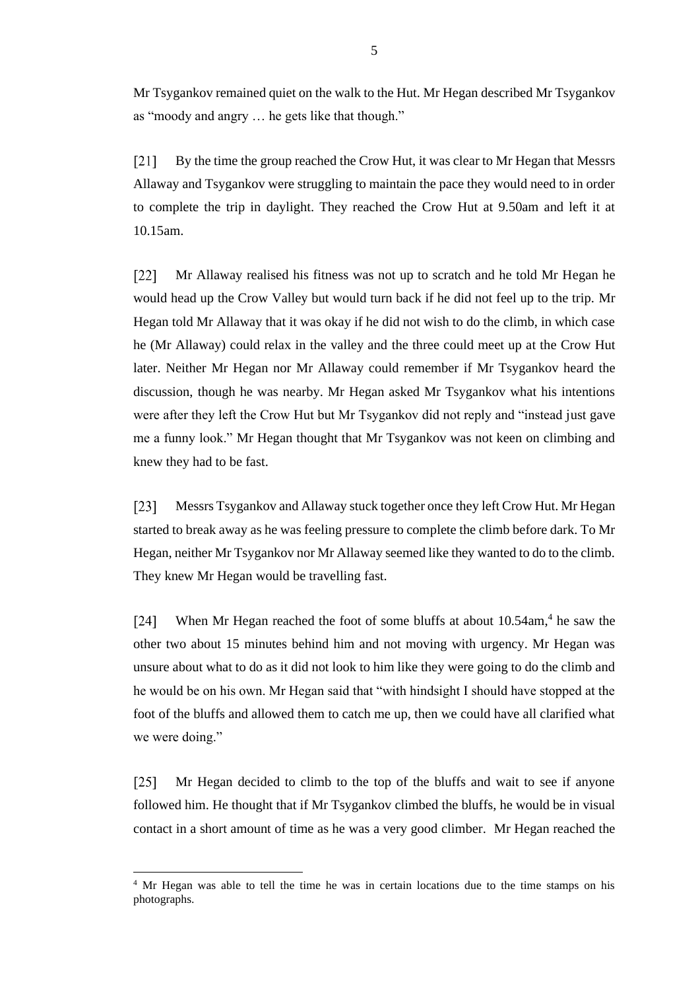Mr Tsygankov remained quiet on the walk to the Hut. Mr Hegan described Mr Tsygankov as "moody and angry … he gets like that though."

By the time the group reached the Crow Hut, it was clear to Mr Hegan that Messrs  $[21]$ Allaway and Tsygankov were struggling to maintain the pace they would need to in order to complete the trip in daylight. They reached the Crow Hut at 9.50am and left it at 10.15am.

 $[22]$ Mr Allaway realised his fitness was not up to scratch and he told Mr Hegan he would head up the Crow Valley but would turn back if he did not feel up to the trip. Mr Hegan told Mr Allaway that it was okay if he did not wish to do the climb, in which case he (Mr Allaway) could relax in the valley and the three could meet up at the Crow Hut later. Neither Mr Hegan nor Mr Allaway could remember if Mr Tsygankov heard the discussion, though he was nearby. Mr Hegan asked Mr Tsygankov what his intentions were after they left the Crow Hut but Mr Tsygankov did not reply and "instead just gave me a funny look." Mr Hegan thought that Mr Tsygankov was not keen on climbing and knew they had to be fast.

 $[23]$ Messrs Tsygankov and Allaway stuck together once they left Crow Hut. Mr Hegan started to break away as he was feeling pressure to complete the climb before dark. To Mr Hegan, neither Mr Tsygankov nor Mr Allaway seemed like they wanted to do to the climb. They knew Mr Hegan would be travelling fast.

When Mr Hegan reached the foot of some bluffs at about 10.54am,<sup>4</sup> he saw the  $\lceil 24 \rceil$ other two about 15 minutes behind him and not moving with urgency. Mr Hegan was unsure about what to do as it did not look to him like they were going to do the climb and he would be on his own. Mr Hegan said that "with hindsight I should have stopped at the foot of the bluffs and allowed them to catch me up, then we could have all clarified what we were doing."

 $\lceil 25 \rceil$ Mr Hegan decided to climb to the top of the bluffs and wait to see if anyone followed him. He thought that if Mr Tsygankov climbed the bluffs, he would be in visual contact in a short amount of time as he was a very good climber. Mr Hegan reached the

<sup>&</sup>lt;sup>4</sup> Mr Hegan was able to tell the time he was in certain locations due to the time stamps on his photographs.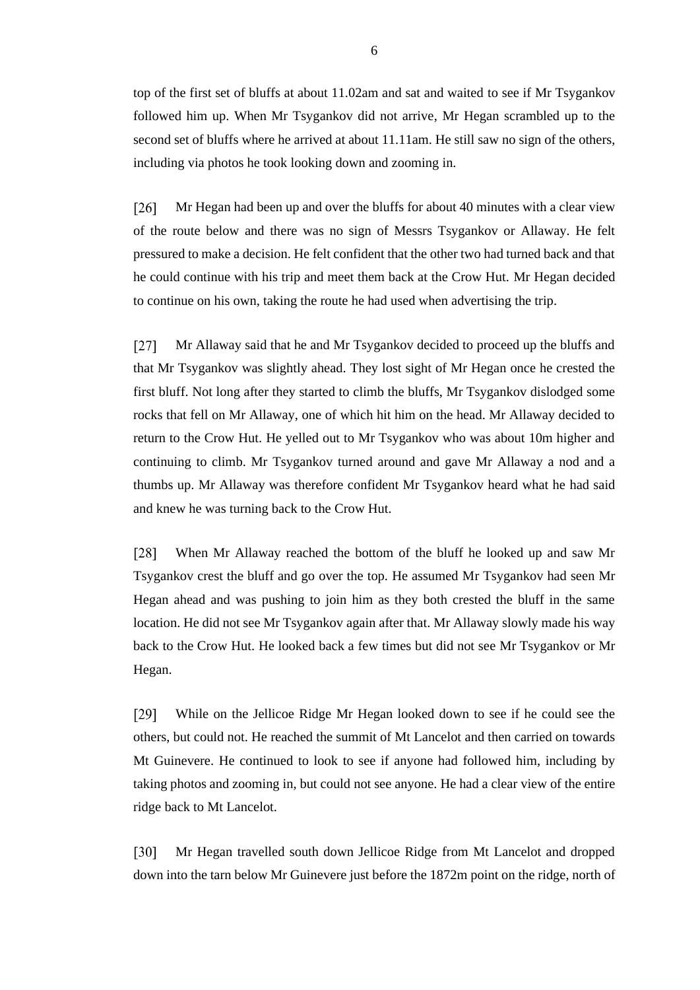top of the first set of bluffs at about 11.02am and sat and waited to see if Mr Tsygankov followed him up. When Mr Tsygankov did not arrive, Mr Hegan scrambled up to the second set of bluffs where he arrived at about 11.11am. He still saw no sign of the others, including via photos he took looking down and zooming in.

 $[26]$ Mr Hegan had been up and over the bluffs for about 40 minutes with a clear view of the route below and there was no sign of Messrs Tsygankov or Allaway. He felt pressured to make a decision. He felt confident that the other two had turned back and that he could continue with his trip and meet them back at the Crow Hut. Mr Hegan decided to continue on his own, taking the route he had used when advertising the trip.

 $[27]$ Mr Allaway said that he and Mr Tsygankov decided to proceed up the bluffs and that Mr Tsygankov was slightly ahead. They lost sight of Mr Hegan once he crested the first bluff. Not long after they started to climb the bluffs, Mr Tsygankov dislodged some rocks that fell on Mr Allaway, one of which hit him on the head. Mr Allaway decided to return to the Crow Hut. He yelled out to Mr Tsygankov who was about 10m higher and continuing to climb. Mr Tsygankov turned around and gave Mr Allaway a nod and a thumbs up. Mr Allaway was therefore confident Mr Tsygankov heard what he had said and knew he was turning back to the Crow Hut.

 $\lceil 28 \rceil$ When Mr Allaway reached the bottom of the bluff he looked up and saw Mr Tsygankov crest the bluff and go over the top. He assumed Mr Tsygankov had seen Mr Hegan ahead and was pushing to join him as they both crested the bluff in the same location. He did not see Mr Tsygankov again after that. Mr Allaway slowly made his way back to the Crow Hut. He looked back a few times but did not see Mr Tsygankov or Mr Hegan.

 $[29]$ While on the Jellicoe Ridge Mr Hegan looked down to see if he could see the others, but could not. He reached the summit of Mt Lancelot and then carried on towards Mt Guinevere. He continued to look to see if anyone had followed him, including by taking photos and zooming in, but could not see anyone. He had a clear view of the entire ridge back to Mt Lancelot.

 $\lceil 30 \rceil$ Mr Hegan travelled south down Jellicoe Ridge from Mt Lancelot and dropped down into the tarn below Mr Guinevere just before the 1872m point on the ridge, north of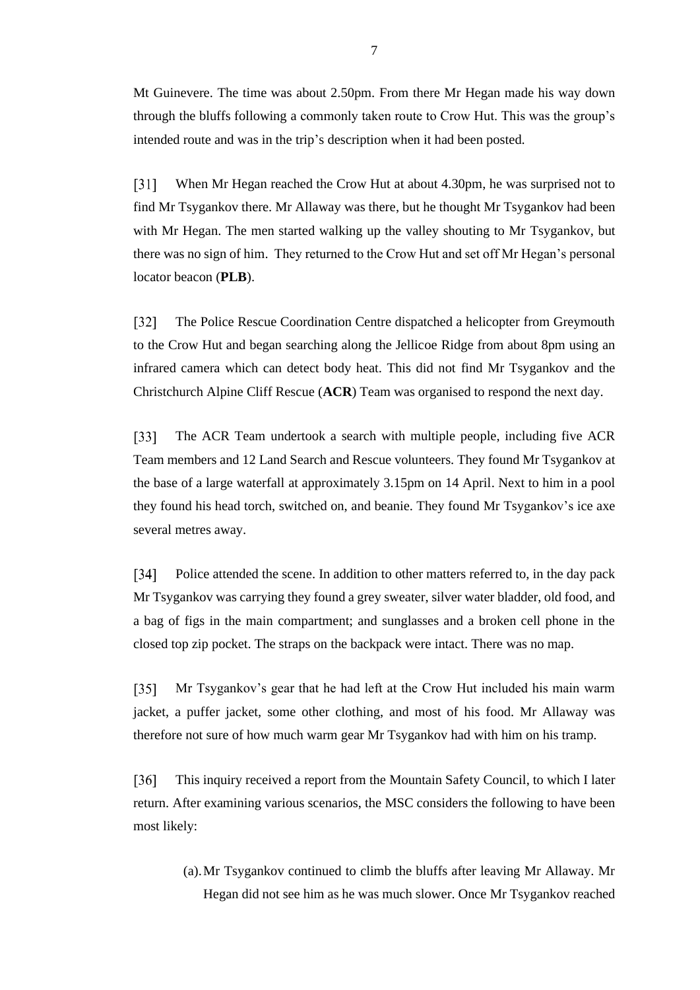Mt Guinevere. The time was about 2.50pm. From there Mr Hegan made his way down through the bluffs following a commonly taken route to Crow Hut. This was the group's intended route and was in the trip's description when it had been posted.

 $\lceil 31 \rceil$ When Mr Hegan reached the Crow Hut at about 4.30pm, he was surprised not to find Mr Tsygankov there. Mr Allaway was there, but he thought Mr Tsygankov had been with Mr Hegan. The men started walking up the valley shouting to Mr Tsygankov, but there was no sign of him. They returned to the Crow Hut and set off Mr Hegan's personal locator beacon (**PLB**).

 $[32]$ The Police Rescue Coordination Centre dispatched a helicopter from Greymouth to the Crow Hut and began searching along the Jellicoe Ridge from about 8pm using an infrared camera which can detect body heat. This did not find Mr Tsygankov and the Christchurch Alpine Cliff Rescue (**ACR**) Team was organised to respond the next day.

 $\lceil 33 \rceil$ The ACR Team undertook a search with multiple people, including five ACR Team members and 12 Land Search and Rescue volunteers. They found Mr Tsygankov at the base of a large waterfall at approximately 3.15pm on 14 April. Next to him in a pool they found his head torch, switched on, and beanie. They found Mr Tsygankov's ice axe several metres away.

 $[34]$ Police attended the scene. In addition to other matters referred to, in the day pack Mr Tsygankov was carrying they found a grey sweater, silver water bladder, old food, and a bag of figs in the main compartment; and sunglasses and a broken cell phone in the closed top zip pocket. The straps on the backpack were intact. There was no map.

 $[35]$ Mr Tsygankov's gear that he had left at the Crow Hut included his main warm jacket, a puffer jacket, some other clothing, and most of his food. Mr Allaway was therefore not sure of how much warm gear Mr Tsygankov had with him on his tramp.

This inquiry received a report from the Mountain Safety Council, to which I later  $[36]$ return. After examining various scenarios, the MSC considers the following to have been most likely:

> (a).Mr Tsygankov continued to climb the bluffs after leaving Mr Allaway. Mr Hegan did not see him as he was much slower. Once Mr Tsygankov reached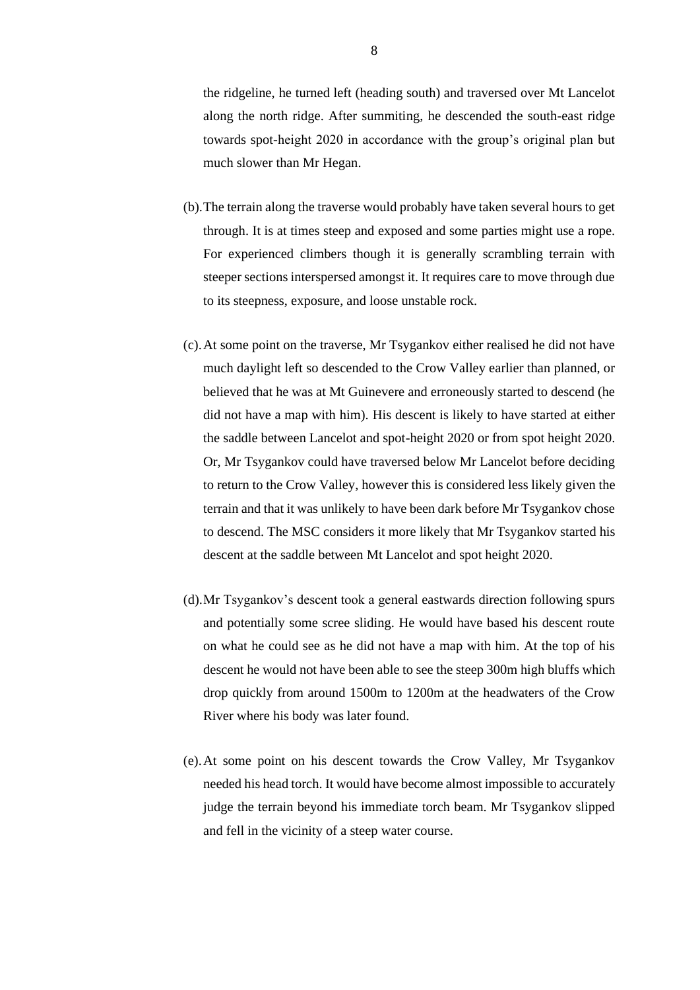the ridgeline, he turned left (heading south) and traversed over Mt Lancelot along the north ridge. After summiting, he descended the south-east ridge towards spot-height 2020 in accordance with the group's original plan but much slower than Mr Hegan.

- (b).The terrain along the traverse would probably have taken several hours to get through. It is at times steep and exposed and some parties might use a rope. For experienced climbers though it is generally scrambling terrain with steeper sections interspersed amongst it. It requires care to move through due to its steepness, exposure, and loose unstable rock.
- (c).At some point on the traverse, Mr Tsygankov either realised he did not have much daylight left so descended to the Crow Valley earlier than planned, or believed that he was at Mt Guinevere and erroneously started to descend (he did not have a map with him). His descent is likely to have started at either the saddle between Lancelot and spot-height 2020 or from spot height 2020. Or, Mr Tsygankov could have traversed below Mr Lancelot before deciding to return to the Crow Valley, however this is considered less likely given the terrain and that it was unlikely to have been dark before Mr Tsygankov chose to descend. The MSC considers it more likely that Mr Tsygankov started his descent at the saddle between Mt Lancelot and spot height 2020.
- (d).Mr Tsygankov's descent took a general eastwards direction following spurs and potentially some scree sliding. He would have based his descent route on what he could see as he did not have a map with him. At the top of his descent he would not have been able to see the steep 300m high bluffs which drop quickly from around 1500m to 1200m at the headwaters of the Crow River where his body was later found.
- (e).At some point on his descent towards the Crow Valley, Mr Tsygankov needed his head torch. It would have become almost impossible to accurately judge the terrain beyond his immediate torch beam. Mr Tsygankov slipped and fell in the vicinity of a steep water course.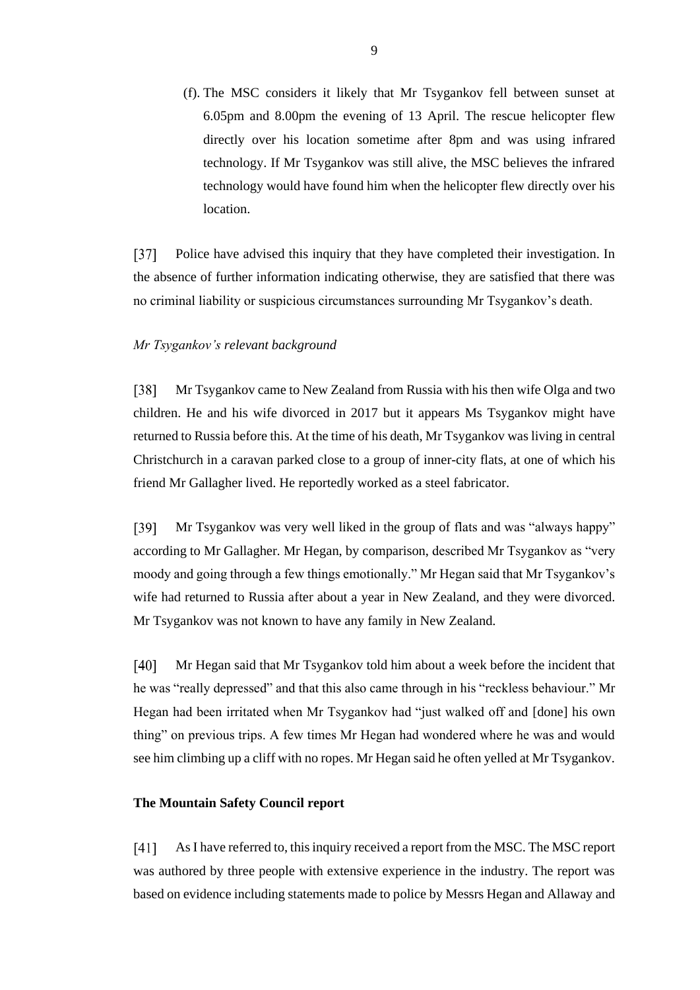(f). The MSC considers it likely that Mr Tsygankov fell between sunset at 6.05pm and 8.00pm the evening of 13 April. The rescue helicopter flew directly over his location sometime after 8pm and was using infrared technology. If Mr Tsygankov was still alive, the MSC believes the infrared technology would have found him when the helicopter flew directly over his location.

 $\sqrt{371}$ Police have advised this inquiry that they have completed their investigation. In the absence of further information indicating otherwise, they are satisfied that there was no criminal liability or suspicious circumstances surrounding Mr Tsygankov's death.

#### *Mr Tsygankov's relevant background*

 $[38]$ Mr Tsygankov came to New Zealand from Russia with his then wife Olga and two children. He and his wife divorced in 2017 but it appears Ms Tsygankov might have returned to Russia before this. At the time of his death, Mr Tsygankov was living in central Christchurch in a caravan parked close to a group of inner-city flats, at one of which his friend Mr Gallagher lived. He reportedly worked as a steel fabricator.

[39] Mr Tsygankov was very well liked in the group of flats and was "always happy" according to Mr Gallagher. Mr Hegan, by comparison, described Mr Tsygankov as "very moody and going through a few things emotionally." Mr Hegan said that Mr Tsygankov's wife had returned to Russia after about a year in New Zealand, and they were divorced. Mr Tsygankov was not known to have any family in New Zealand.

 $[40]$ Mr Hegan said that Mr Tsygankov told him about a week before the incident that he was "really depressed" and that this also came through in his "reckless behaviour." Mr Hegan had been irritated when Mr Tsygankov had "just walked off and [done] his own thing" on previous trips. A few times Mr Hegan had wondered where he was and would see him climbing up a cliff with no ropes. Mr Hegan said he often yelled at Mr Tsygankov.

## **The Mountain Safety Council report**

 $[41]$ As I have referred to, this inquiry received a report from the MSC. The MSC report was authored by three people with extensive experience in the industry. The report was based on evidence including statements made to police by Messrs Hegan and Allaway and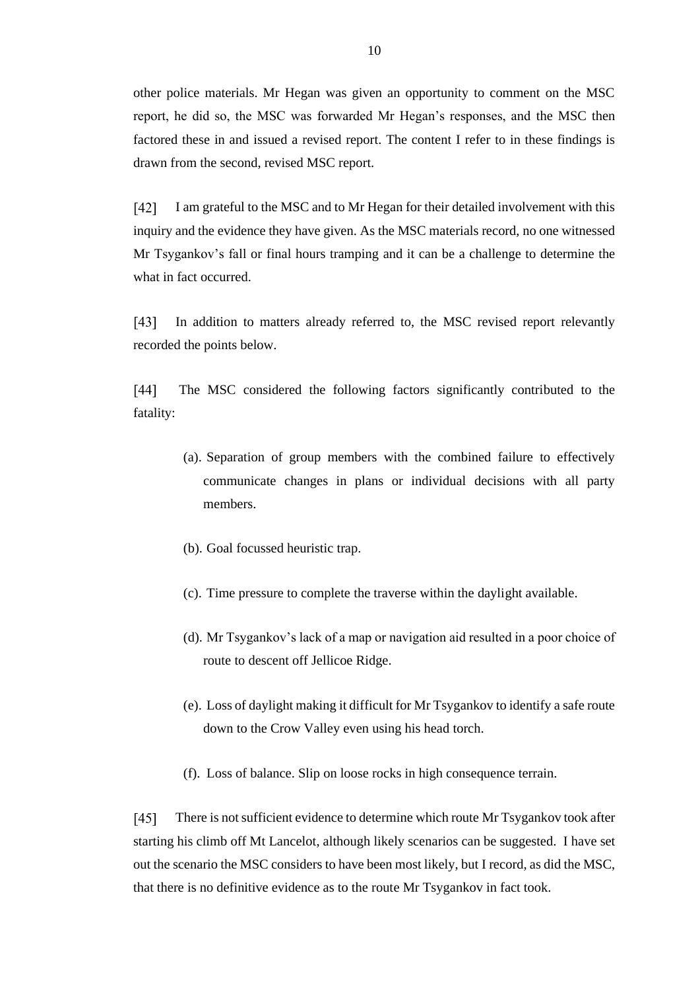other police materials. Mr Hegan was given an opportunity to comment on the MSC report, he did so, the MSC was forwarded Mr Hegan's responses, and the MSC then factored these in and issued a revised report. The content I refer to in these findings is drawn from the second, revised MSC report.

 $\lceil 42 \rceil$ I am grateful to the MSC and to Mr Hegan for their detailed involvement with this inquiry and the evidence they have given. As the MSC materials record, no one witnessed Mr Tsygankov's fall or final hours tramping and it can be a challenge to determine the what in fact occurred.

 $[43]$ In addition to matters already referred to, the MSC revised report relevantly recorded the points below.

 $[44]$ The MSC considered the following factors significantly contributed to the fatality:

- (a). Separation of group members with the combined failure to effectively communicate changes in plans or individual decisions with all party members.
- (b). Goal focussed heuristic trap.
- (c). Time pressure to complete the traverse within the daylight available.
- (d). Mr Tsygankov's lack of a map or navigation aid resulted in a poor choice of route to descent off Jellicoe Ridge.
- (e). Loss of daylight making it difficult for Mr Tsygankov to identify a safe route down to the Crow Valley even using his head torch.
- (f). Loss of balance. Slip on loose rocks in high consequence terrain.

 $[45]$ There is not sufficient evidence to determine which route Mr Tsygankov took after starting his climb off Mt Lancelot, although likely scenarios can be suggested. I have set out the scenario the MSC considers to have been most likely, but I record, as did the MSC, that there is no definitive evidence as to the route Mr Tsygankov in fact took.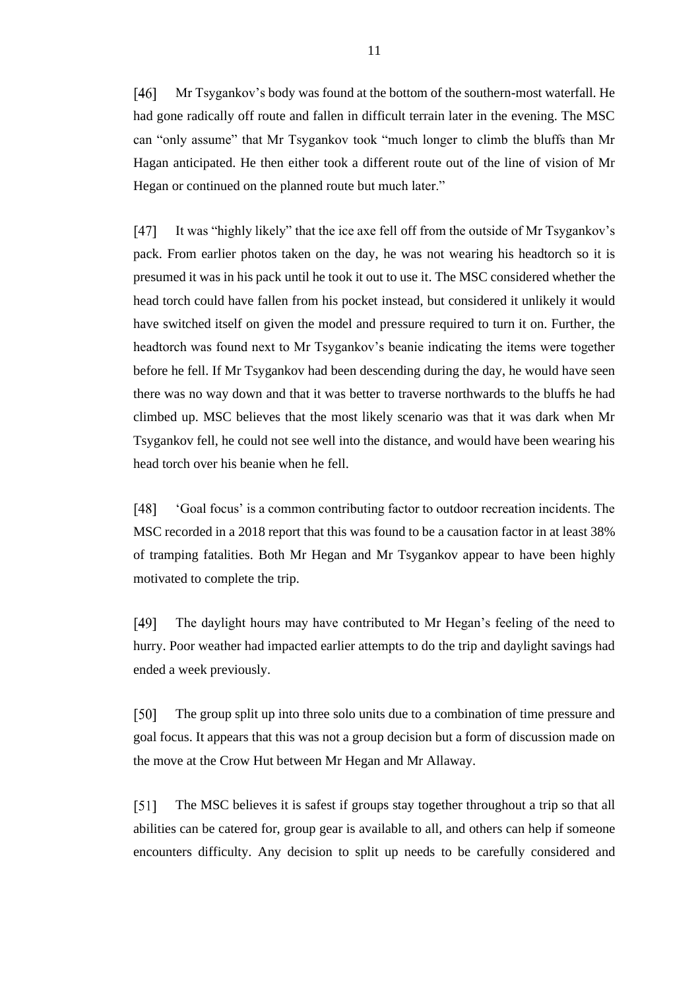$[46]$ Mr Tsygankov's body was found at the bottom of the southern-most waterfall. He had gone radically off route and fallen in difficult terrain later in the evening. The MSC can "only assume" that Mr Tsygankov took "much longer to climb the bluffs than Mr Hagan anticipated. He then either took a different route out of the line of vision of Mr Hegan or continued on the planned route but much later."

 $[47]$ It was "highly likely" that the ice axe fell off from the outside of Mr Tsygankov's pack. From earlier photos taken on the day, he was not wearing his headtorch so it is presumed it was in his pack until he took it out to use it. The MSC considered whether the head torch could have fallen from his pocket instead, but considered it unlikely it would have switched itself on given the model and pressure required to turn it on. Further, the headtorch was found next to Mr Tsygankov's beanie indicating the items were together before he fell. If Mr Tsygankov had been descending during the day, he would have seen there was no way down and that it was better to traverse northwards to the bluffs he had climbed up. MSC believes that the most likely scenario was that it was dark when Mr Tsygankov fell, he could not see well into the distance, and would have been wearing his head torch over his beanie when he fell.

 $[48]$ 'Goal focus' is a common contributing factor to outdoor recreation incidents. The MSC recorded in a 2018 report that this was found to be a causation factor in at least 38% of tramping fatalities. Both Mr Hegan and Mr Tsygankov appear to have been highly motivated to complete the trip.

 $[49]$ The daylight hours may have contributed to Mr Hegan's feeling of the need to hurry. Poor weather had impacted earlier attempts to do the trip and daylight savings had ended a week previously.

[50] The group split up into three solo units due to a combination of time pressure and goal focus. It appears that this was not a group decision but a form of discussion made on the move at the Crow Hut between Mr Hegan and Mr Allaway.

 $[51]$ The MSC believes it is safest if groups stay together throughout a trip so that all abilities can be catered for, group gear is available to all, and others can help if someone encounters difficulty. Any decision to split up needs to be carefully considered and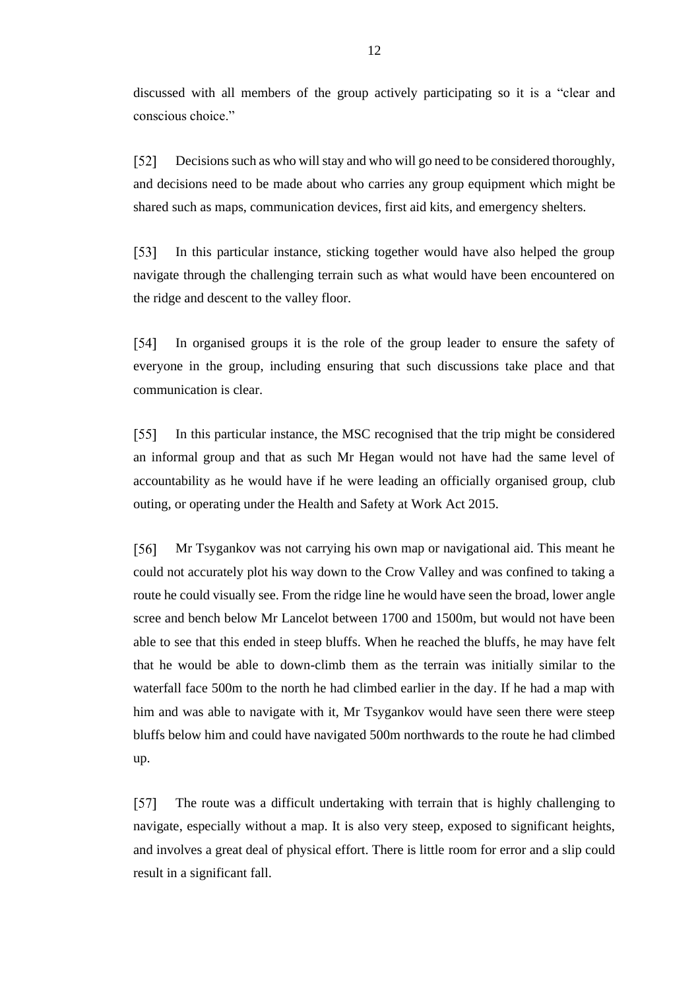discussed with all members of the group actively participating so it is a "clear and conscious choice."

Decisions such as who will stay and who will go need to be considered thoroughly,  $\lceil 52 \rceil$ and decisions need to be made about who carries any group equipment which might be shared such as maps, communication devices, first aid kits, and emergency shelters.

 $[53]$ In this particular instance, sticking together would have also helped the group navigate through the challenging terrain such as what would have been encountered on the ridge and descent to the valley floor.

 $[54]$ In organised groups it is the role of the group leader to ensure the safety of everyone in the group, including ensuring that such discussions take place and that communication is clear.

In this particular instance, the MSC recognised that the trip might be considered  $\sqrt{551}$ an informal group and that as such Mr Hegan would not have had the same level of accountability as he would have if he were leading an officially organised group, club outing, or operating under the Health and Safety at Work Act 2015.

Mr Tsygankov was not carrying his own map or navigational aid. This meant he [56] could not accurately plot his way down to the Crow Valley and was confined to taking a route he could visually see. From the ridge line he would have seen the broad, lower angle scree and bench below Mr Lancelot between 1700 and 1500m, but would not have been able to see that this ended in steep bluffs. When he reached the bluffs, he may have felt that he would be able to down-climb them as the terrain was initially similar to the waterfall face 500m to the north he had climbed earlier in the day. If he had a map with him and was able to navigate with it, Mr Tsygankov would have seen there were steep bluffs below him and could have navigated 500m northwards to the route he had climbed up.

 $[57]$ The route was a difficult undertaking with terrain that is highly challenging to navigate, especially without a map. It is also very steep, exposed to significant heights, and involves a great deal of physical effort. There is little room for error and a slip could result in a significant fall.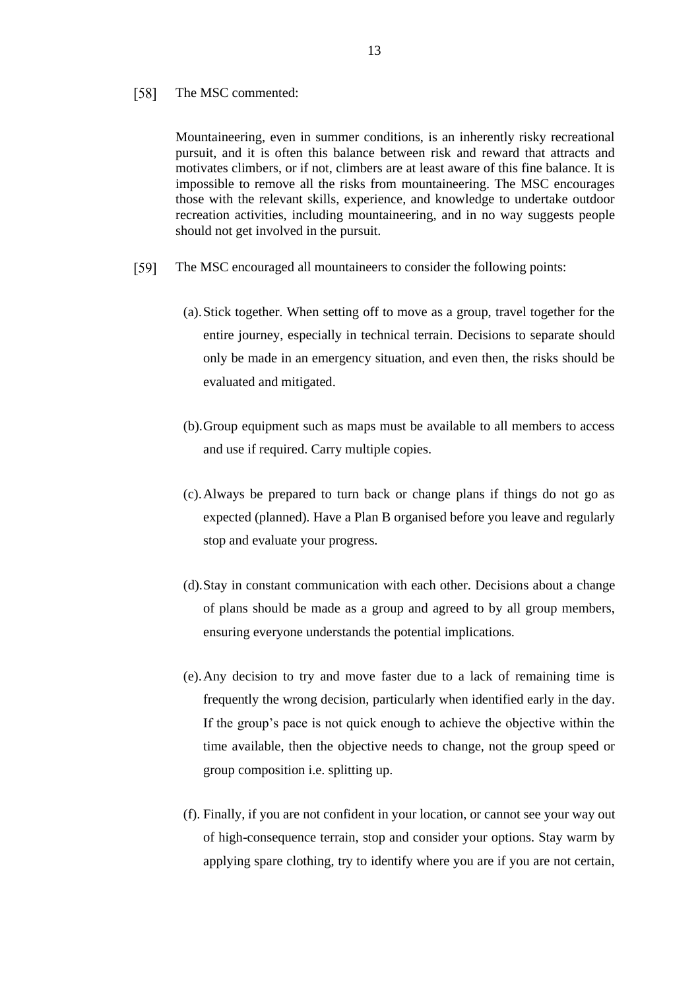#### $\lceil 58 \rceil$ The MSC commented:

Mountaineering, even in summer conditions, is an inherently risky recreational pursuit, and it is often this balance between risk and reward that attracts and motivates climbers, or if not, climbers are at least aware of this fine balance. It is impossible to remove all the risks from mountaineering. The MSC encourages those with the relevant skills, experience, and knowledge to undertake outdoor recreation activities, including mountaineering, and in no way suggests people should not get involved in the pursuit.

- $\lceil 59 \rceil$ The MSC encouraged all mountaineers to consider the following points:
	- (a).Stick together. When setting off to move as a group, travel together for the entire journey, especially in technical terrain. Decisions to separate should only be made in an emergency situation, and even then, the risks should be evaluated and mitigated.
	- (b).Group equipment such as maps must be available to all members to access and use if required. Carry multiple copies.
	- (c).Always be prepared to turn back or change plans if things do not go as expected (planned). Have a Plan B organised before you leave and regularly stop and evaluate your progress.
	- (d).Stay in constant communication with each other. Decisions about a change of plans should be made as a group and agreed to by all group members, ensuring everyone understands the potential implications.
	- (e).Any decision to try and move faster due to a lack of remaining time is frequently the wrong decision, particularly when identified early in the day. If the group's pace is not quick enough to achieve the objective within the time available, then the objective needs to change, not the group speed or group composition i.e. splitting up.
	- (f). Finally, if you are not confident in your location, or cannot see your way out of high-consequence terrain, stop and consider your options. Stay warm by applying spare clothing, try to identify where you are if you are not certain,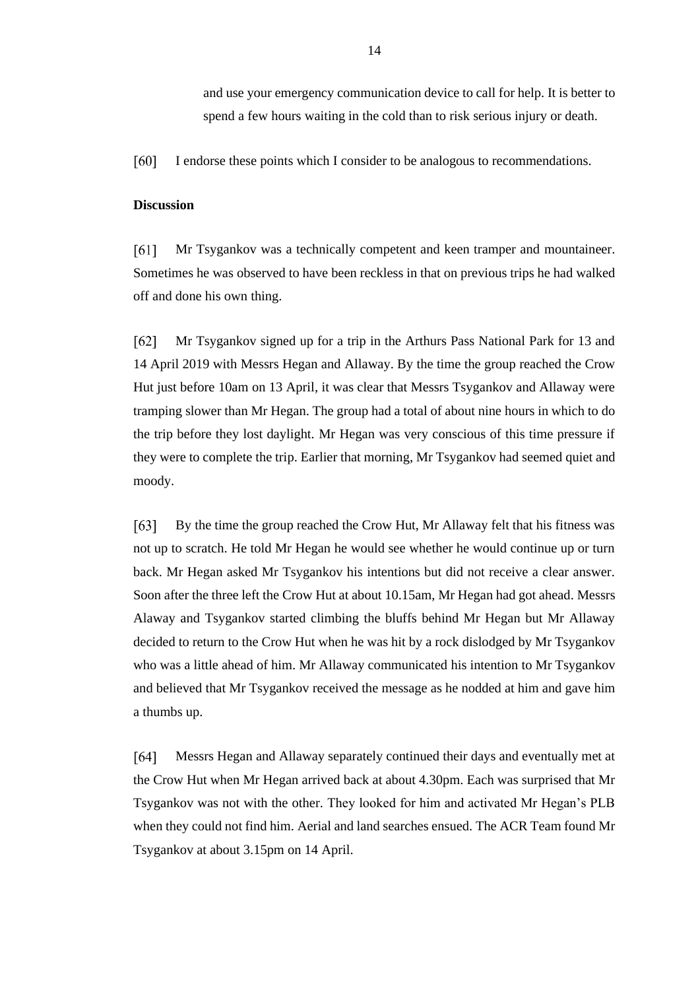and use your emergency communication device to call for help. It is better to spend a few hours waiting in the cold than to risk serious injury or death.

 $[60]$ I endorse these points which I consider to be analogous to recommendations.

## **Discussion**

 $[61]$ Mr Tsygankov was a technically competent and keen tramper and mountaineer. Sometimes he was observed to have been reckless in that on previous trips he had walked off and done his own thing.

 $[62]$ Mr Tsygankov signed up for a trip in the Arthurs Pass National Park for 13 and 14 April 2019 with Messrs Hegan and Allaway. By the time the group reached the Crow Hut just before 10am on 13 April, it was clear that Messrs Tsygankov and Allaway were tramping slower than Mr Hegan. The group had a total of about nine hours in which to do the trip before they lost daylight. Mr Hegan was very conscious of this time pressure if they were to complete the trip. Earlier that morning, Mr Tsygankov had seemed quiet and moody.

 $[63]$ By the time the group reached the Crow Hut, Mr Allaway felt that his fitness was not up to scratch. He told Mr Hegan he would see whether he would continue up or turn back. Mr Hegan asked Mr Tsygankov his intentions but did not receive a clear answer. Soon after the three left the Crow Hut at about 10.15am, Mr Hegan had got ahead. Messrs Alaway and Tsygankov started climbing the bluffs behind Mr Hegan but Mr Allaway decided to return to the Crow Hut when he was hit by a rock dislodged by Mr Tsygankov who was a little ahead of him. Mr Allaway communicated his intention to Mr Tsygankov and believed that Mr Tsygankov received the message as he nodded at him and gave him a thumbs up.

 $[64]$ Messrs Hegan and Allaway separately continued their days and eventually met at the Crow Hut when Mr Hegan arrived back at about 4.30pm. Each was surprised that Mr Tsygankov was not with the other. They looked for him and activated Mr Hegan's PLB when they could not find him. Aerial and land searches ensued. The ACR Team found Mr Tsygankov at about 3.15pm on 14 April.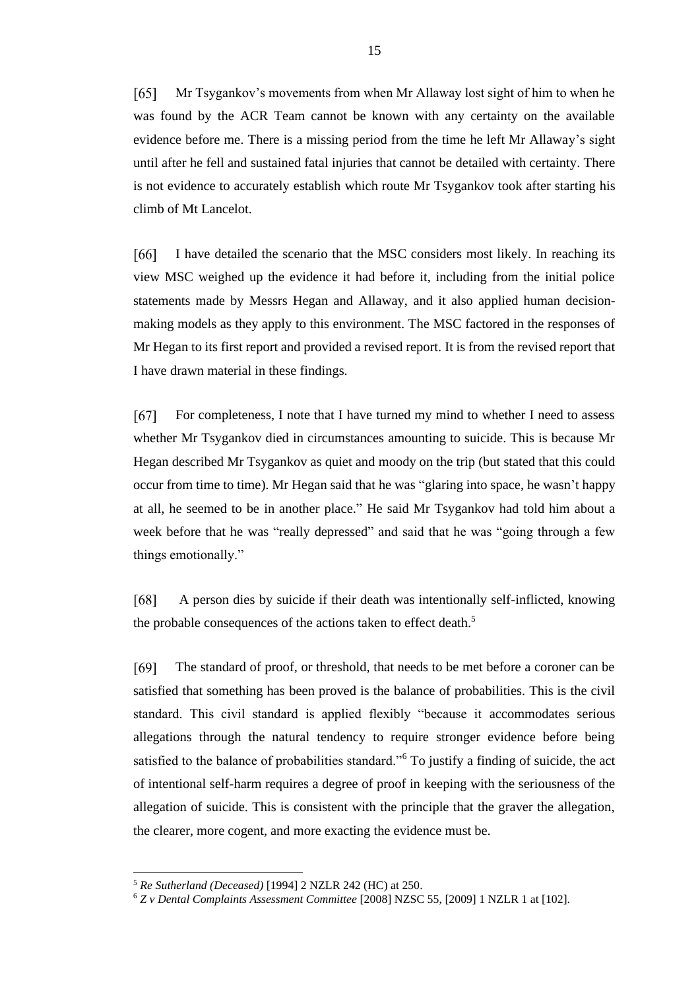$\lceil 65 \rceil$ Mr Tsygankov's movements from when Mr Allaway lost sight of him to when he was found by the ACR Team cannot be known with any certainty on the available evidence before me. There is a missing period from the time he left Mr Allaway's sight until after he fell and sustained fatal injuries that cannot be detailed with certainty. There is not evidence to accurately establish which route Mr Tsygankov took after starting his climb of Mt Lancelot.

[66] I have detailed the scenario that the MSC considers most likely. In reaching its view MSC weighed up the evidence it had before it, including from the initial police statements made by Messrs Hegan and Allaway, and it also applied human decisionmaking models as they apply to this environment. The MSC factored in the responses of Mr Hegan to its first report and provided a revised report. It is from the revised report that I have drawn material in these findings.

 $[67]$ For completeness, I note that I have turned my mind to whether I need to assess whether Mr Tsygankov died in circumstances amounting to suicide. This is because Mr Hegan described Mr Tsygankov as quiet and moody on the trip (but stated that this could occur from time to time). Mr Hegan said that he was "glaring into space, he wasn't happy at all, he seemed to be in another place." He said Mr Tsygankov had told him about a week before that he was "really depressed" and said that he was "going through a few things emotionally."

A person dies by suicide if their death was intentionally self-inflicted, knowing [68] the probable consequences of the actions taken to effect death.<sup>5</sup>

 $[69]$ The standard of proof, or threshold, that needs to be met before a coroner can be satisfied that something has been proved is the balance of probabilities. This is the civil standard. This civil standard is applied flexibly "because it accommodates serious allegations through the natural tendency to require stronger evidence before being satisfied to the balance of probabilities standard."<sup>6</sup> To justify a finding of suicide, the act of intentional self-harm requires a degree of proof in keeping with the seriousness of the allegation of suicide. This is consistent with the principle that the graver the allegation, the clearer, more cogent, and more exacting the evidence must be.

<sup>5</sup> *Re Sutherland (Deceased)* [1994] 2 NZLR 242 (HC) at 250.

<sup>6</sup> *Z v Dental Complaints Assessment Committee* [2008] NZSC 55, [2009] 1 NZLR 1 at [102].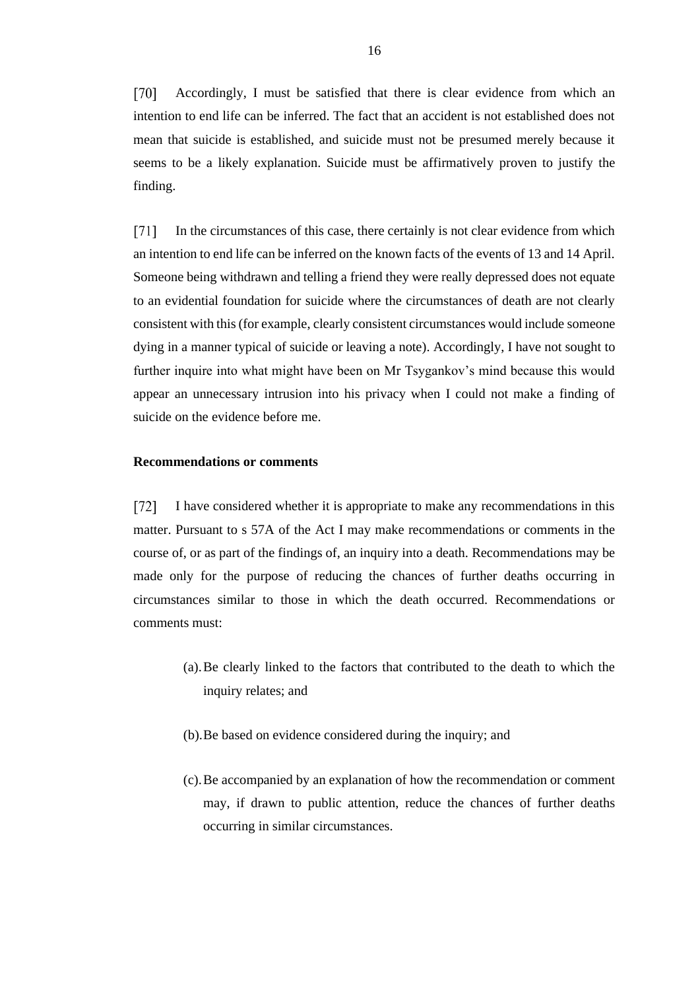$\lceil 70 \rceil$ Accordingly, I must be satisfied that there is clear evidence from which an intention to end life can be inferred. The fact that an accident is not established does not mean that suicide is established, and suicide must not be presumed merely because it seems to be a likely explanation. Suicide must be affirmatively proven to justify the finding.

In the circumstances of this case, there certainly is not clear evidence from which  $[71]$ an intention to end life can be inferred on the known facts of the events of 13 and 14 April. Someone being withdrawn and telling a friend they were really depressed does not equate to an evidential foundation for suicide where the circumstances of death are not clearly consistent with this (for example, clearly consistent circumstances would include someone dying in a manner typical of suicide or leaving a note). Accordingly, I have not sought to further inquire into what might have been on Mr Tsygankov's mind because this would appear an unnecessary intrusion into his privacy when I could not make a finding of suicide on the evidence before me.

## **Recommendations or comments**

 $[72]$ I have considered whether it is appropriate to make any recommendations in this matter. Pursuant to s 57A of the Act I may make recommendations or comments in the course of, or as part of the findings of, an inquiry into a death. Recommendations may be made only for the purpose of reducing the chances of further deaths occurring in circumstances similar to those in which the death occurred. Recommendations or comments must:

- (a).Be clearly linked to the factors that contributed to the death to which the inquiry relates; and
- (b).Be based on evidence considered during the inquiry; and
- (c).Be accompanied by an explanation of how the recommendation or comment may, if drawn to public attention, reduce the chances of further deaths occurring in similar circumstances.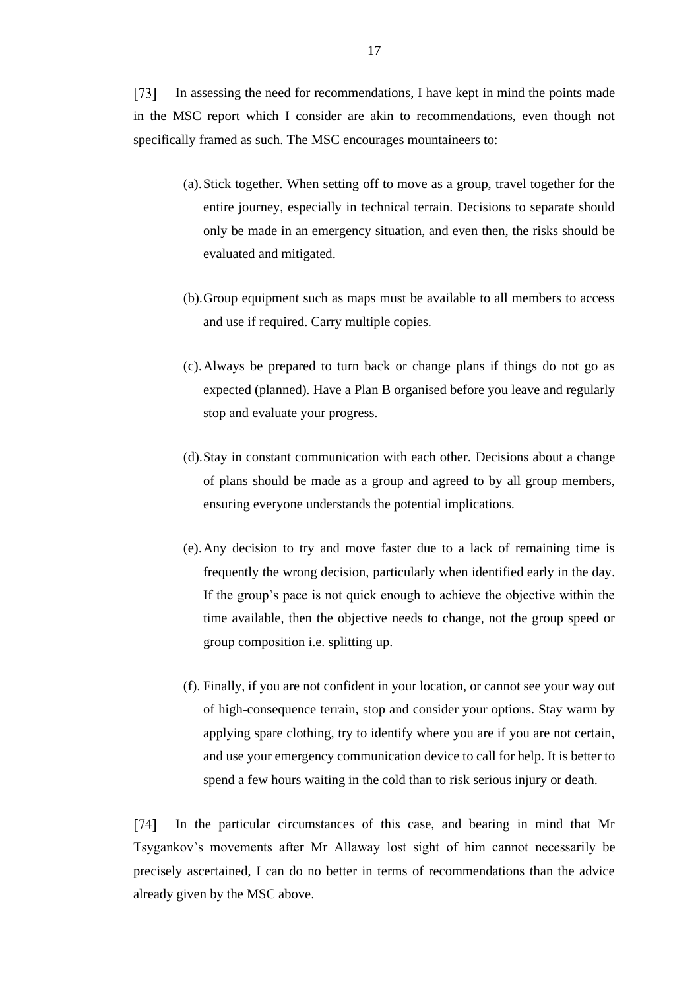$\lceil 73 \rceil$ In assessing the need for recommendations, I have kept in mind the points made in the MSC report which I consider are akin to recommendations, even though not specifically framed as such. The MSC encourages mountaineers to:

- (a).Stick together. When setting off to move as a group, travel together for the entire journey, especially in technical terrain. Decisions to separate should only be made in an emergency situation, and even then, the risks should be evaluated and mitigated.
- (b).Group equipment such as maps must be available to all members to access and use if required. Carry multiple copies.
- (c).Always be prepared to turn back or change plans if things do not go as expected (planned). Have a Plan B organised before you leave and regularly stop and evaluate your progress.
- (d).Stay in constant communication with each other. Decisions about a change of plans should be made as a group and agreed to by all group members, ensuring everyone understands the potential implications.
- (e).Any decision to try and move faster due to a lack of remaining time is frequently the wrong decision, particularly when identified early in the day. If the group's pace is not quick enough to achieve the objective within the time available, then the objective needs to change, not the group speed or group composition i.e. splitting up.
- (f). Finally, if you are not confident in your location, or cannot see your way out of high-consequence terrain, stop and consider your options. Stay warm by applying spare clothing, try to identify where you are if you are not certain, and use your emergency communication device to call for help. It is better to spend a few hours waiting in the cold than to risk serious injury or death.

 $\lceil 74 \rceil$ In the particular circumstances of this case, and bearing in mind that Mr Tsygankov's movements after Mr Allaway lost sight of him cannot necessarily be precisely ascertained, I can do no better in terms of recommendations than the advice already given by the MSC above.